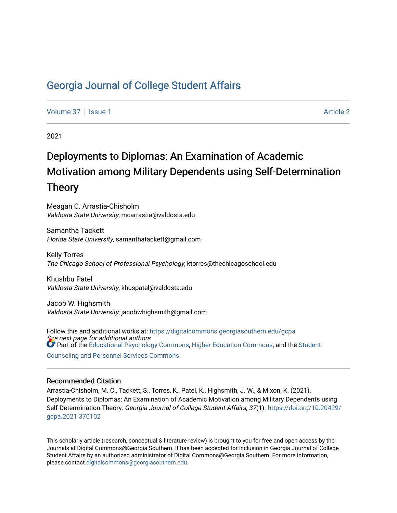## [Georgia Journal of College Student Affairs](https://digitalcommons.georgiasouthern.edu/gcpa)

[Volume 37](https://digitalcommons.georgiasouthern.edu/gcpa/vol37) | [Issue 1](https://digitalcommons.georgiasouthern.edu/gcpa/vol37/iss1) [Article 2](https://digitalcommons.georgiasouthern.edu/gcpa/vol37/iss1/2) Article 2 Article 2 Article 2 Article 2 Article 2 Article 2

2021

# Deployments to Diplomas: An Examination of Academic Motivation among Military Dependents using Self-Determination Theory

Meagan C. Arrastia-Chisholm Valdosta State University, mcarrastia@valdosta.edu

Samantha Tackett Florida State University, samanthatackett@gmail.com

Kelly Torres The Chicago School of Professional Psychology, ktorres@thechicagoschool.edu

Khushbu Patel Valdosta State University, khuspatel@valdosta.edu

Jacob W. Highsmith Valdosta State University, jacobwhighsmith@gmail.com

See next page for additional authors Follow this and additional works at: [https://digitalcommons.georgiasouthern.edu/gcpa](https://digitalcommons.georgiasouthern.edu/gcpa?utm_source=digitalcommons.georgiasouthern.edu%2Fgcpa%2Fvol37%2Fiss1%2F2&utm_medium=PDF&utm_campaign=PDFCoverPages)  **Part of the [Educational Psychology Commons,](http://network.bepress.com/hgg/discipline/798?utm_source=digitalcommons.georgiasouthern.edu%2Fgcpa%2Fvol37%2Fiss1%2F2&utm_medium=PDF&utm_campaign=PDFCoverPages) [Higher Education Commons,](http://network.bepress.com/hgg/discipline/1245?utm_source=digitalcommons.georgiasouthern.edu%2Fgcpa%2Fvol37%2Fiss1%2F2&utm_medium=PDF&utm_campaign=PDFCoverPages) and the [Student](http://network.bepress.com/hgg/discipline/802?utm_source=digitalcommons.georgiasouthern.edu%2Fgcpa%2Fvol37%2Fiss1%2F2&utm_medium=PDF&utm_campaign=PDFCoverPages)** 

[Counseling and Personnel Services Commons](http://network.bepress.com/hgg/discipline/802?utm_source=digitalcommons.georgiasouthern.edu%2Fgcpa%2Fvol37%2Fiss1%2F2&utm_medium=PDF&utm_campaign=PDFCoverPages) 

#### Recommended Citation

Arrastia-Chisholm, M. C., Tackett, S., Torres, K., Patel, K., Highsmith, J. W., & Mixon, K. (2021). Deployments to Diplomas: An Examination of Academic Motivation among Military Dependents using Self-Determination Theory. Georgia Journal of College Student Affairs, 37(1). [https://doi.org/10.20429/](https://doi.org/10.20429/gcpa.2021.370102) [gcpa.2021.370102](https://doi.org/10.20429/gcpa.2021.370102)

This scholarly article (research, conceptual & literature review) is brought to you for free and open access by the Journals at Digital Commons@Georgia Southern. It has been accepted for inclusion in Georgia Journal of College Student Affairs by an authorized administrator of Digital Commons@Georgia Southern. For more information, please contact [digitalcommons@georgiasouthern.edu.](mailto:digitalcommons@georgiasouthern.edu)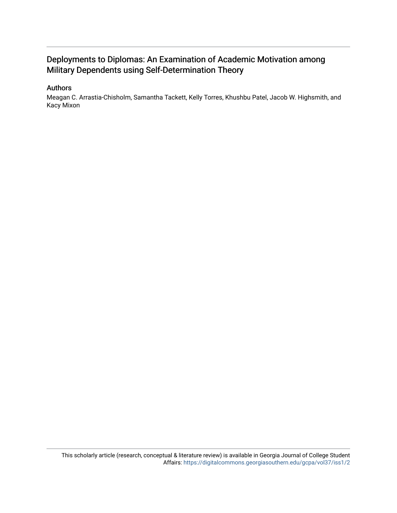### Deployments to Diplomas: An Examination of Academic Motivation among Military Dependents using Self-Determination Theory

#### Authors

Meagan C. Arrastia-Chisholm, Samantha Tackett, Kelly Torres, Khushbu Patel, Jacob W. Highsmith, and Kacy Mixon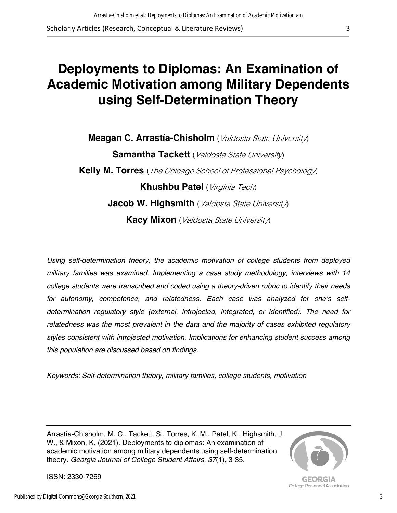*this population are discussed based on findings.* 

*Keywords: Self-determination theory, military families, college students, motivation*

Arrastía-Chisholm, M. C., Tackett, S., Torres, K. M., Patel, K., Highsmith, J. W., & Mixon, K. (2021). Deployments to diplomas: An examination of academic motivation among military dependents using self-determination theory. *Georgia Journal of College Student Affairs, 37*(1), 3-35.

ISSN: 2330-7269

### *determination regulatory style (external, introjected, integrated, or identified). The need for relatedness was the most prevalent in the data and the majority of cases exhibited regulatory*

Published by Digital Commons@Georgia Southern, 2021

# **Deployments to Diplomas: An Examination of Academic Motivation among Military Dependents using Self-Determination Theory**

**Meagan C. Arrastía-Chisholm** (*Valdosta State University*) **Samantha Tackett** (*Valdosta State University*) **Kelly M. Torres** (The Chicago School of Professional Psychology) **Khushbu Patel** (Virginia Tech) **Jacob W. Highsmith** (*Valdosta State University*) **Kacy Mixon** (*Valdosta State University*)

*Using self-determination theory, the academic motivation of college students from deployed* 

*military families was examined. Implementing a case study methodology, interviews with 14 college students were transcribed and coded using a theory-driven rubric to identify their needs for autonomy, competence, and relatedness. Each case was analyzed for one's self-*



**GEORGIA** College Personnel Association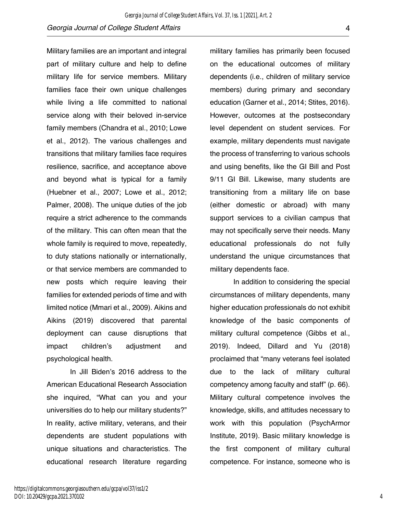Military families are an important and integral part of military culture and help to define military life for service members. Military families face their own unique challenges while living a life committed to national service along with their beloved in-service family members (Chandra et al., 2010; Lowe et al., 2012). The various challenges and transitions that military families face requires resilience, sacrifice, and acceptance above and beyond what is typical for a family (Huebner et al., 2007; Lowe et al., 2012; Palmer, 2008). The unique duties of the job require a strict adherence to the commands of the military. This can often mean that the whole family is required to move, repeatedly, to duty stations nationally or internationally, or that service members are commanded to new posts which require leaving their families for extended periods of time and with limited notice (Mmari et al., 2009). Aikins and Aikins (2019) discovered that parental deployment can cause disruptions that impact children's adjustment and psychological health.

In Jill Biden's 2016 address to the American Educational Research Association she inquired, "What can you and your universities do to help our military students?" In reality, active military, veterans, and their dependents are student populations with unique situations and characteristics. The educational research literature regarding

military families has primarily been focused on the educational outcomes of military dependents (i.e., children of military service members) during primary and secondary education (Garner et al., 2014; Stites, 2016). However, outcomes at the postsecondary level dependent on student services. For example, military dependents must navigate the process of transferring to various schools and using benefits, like the GI Bill and Post 9/11 GI Bill. Likewise, many students are transitioning from a military life on base (either domestic or abroad) with many support services to a civilian campus that may not specifically serve their needs. Many educational professionals do not fully understand the unique circumstances that military dependents face.

In addition to considering the special circumstances of military dependents, many higher education professionals do not exhibit knowledge of the basic components of military cultural competence (Gibbs et al., 2019). Indeed, Dillard and Yu (2018) proclaimed that "many veterans feel isolated due to the lack of military cultural competency among faculty and staff" (p. 66). Military cultural competence involves the knowledge, skills, and attitudes necessary to work with this population (PsychArmor Institute, 2019). Basic military knowledge is the first component of military cultural competence. For instance, someone who is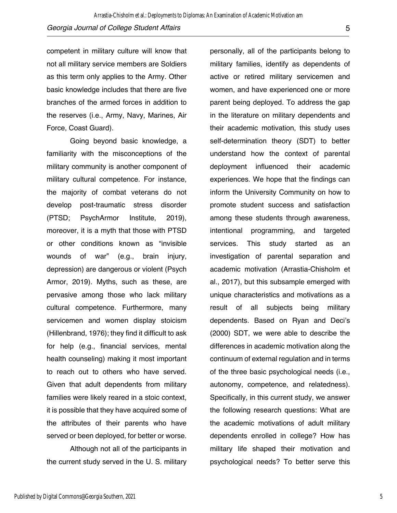competent in military culture will know that not all military service members are Soldiers as this term only applies to the Army. Other basic knowledge includes that there are five branches of the armed forces in addition to the reserves (i.e., Army, Navy, Marines, Air Force, Coast Guard).

Going beyond basic knowledge, a familiarity with the misconceptions of the military community is another component of military cultural competence. For instance, the majority of combat veterans do not develop post-traumatic stress disorder (PTSD; PsychArmor Institute, 2019), moreover, it is a myth that those with PTSD or other conditions known as "invisible wounds of war" (e.g., brain injury, depression) are dangerous or violent (Psych Armor, 2019). Myths, such as these, are pervasive among those who lack military cultural competence. Furthermore, many servicemen and women display stoicism (Hillenbrand, 1976); they find it difficult to ask for help (e.g., financial services, mental health counseling) making it most important to reach out to others who have served. Given that adult dependents from military families were likely reared in a stoic context, it is possible that they have acquired some of the attributes of their parents who have served or been deployed, for better or worse.

Although not all of the participants in the current study served in the U. S. military personally, all of the participants belong to military families, identify as dependents of active or retired military servicemen and women, and have experienced one or more parent being deployed. To address the gap in the literature on military dependents and their academic motivation, this study uses self-determination theory (SDT) to better understand how the context of parental deployment influenced their academic experiences. We hope that the findings can inform the University Community on how to promote student success and satisfaction among these students through awareness, intentional programming, and targeted services. This study started as an investigation of parental separation and academic motivation (Arrastia-Chisholm et al., 2017), but this subsample emerged with unique characteristics and motivations as a result of all subjects being military dependents. Based on Ryan and Deci's (2000) SDT, we were able to describe the differences in academic motivation along the continuum of external regulation and in terms of the three basic psychological needs (i.e., autonomy, competence, and relatedness). Specifically, in this current study, we answer the following research questions: What are the academic motivations of adult military dependents enrolled in college? How has military life shaped their motivation and psychological needs? To better serve this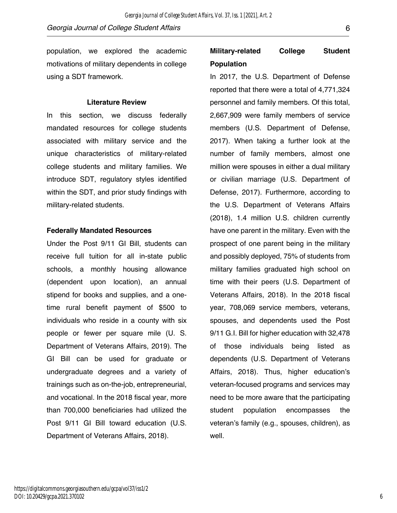population, we explored the academic motivations of military dependents in college using a SDT framework.

#### **Literature Review**

In this section, we discuss federally mandated resources for college students associated with military service and the unique characteristics of military-related college students and military families. We introduce SDT, regulatory styles identified within the SDT, and prior study findings with military-related students.

#### **Federally Mandated Resources**

Under the Post 9/11 GI Bill, students can receive full tuition for all in-state public schools, a monthly housing allowance (dependent upon location), an annual stipend for books and supplies, and a onetime rural benefit payment of \$500 to individuals who reside in a county with six people or fewer per square mile (U. S. Department of Veterans Affairs, 2019). The GI Bill can be used for graduate or undergraduate degrees and a variety of trainings such as on-the-job, entrepreneurial, and vocational. In the 2018 fiscal year, more than 700,000 beneficiaries had utilized the Post 9/11 GI Bill toward education (U.S. Department of Veterans Affairs, 2018).

# **Military-related College Student Population**

In 2017, the U.S. Department of Defense reported that there were a total of 4,771,324 personnel and family members. Of this total, 2,667,909 were family members of service members (U.S. Department of Defense, 2017). When taking a further look at the number of family members, almost one million were spouses in either a dual military or civilian marriage (U.S. Department of Defense, 2017). Furthermore, according to the U.S. Department of Veterans Affairs (2018), 1.4 million U.S. children currently have one parent in the military. Even with the prospect of one parent being in the military and possibly deployed, 75% of students from military families graduated high school on time with their peers (U.S. Department of Veterans Affairs, 2018). In the 2018 fiscal year, 708,069 service members, veterans, spouses, and dependents used the Post 9/11 G.I. Bill for higher education with 32,478 of those individuals being listed as dependents (U.S. Department of Veterans Affairs, 2018). Thus, higher education's veteran-focused programs and services may need to be more aware that the participating student population encompasses the veteran's family (e.g., spouses, children), as well.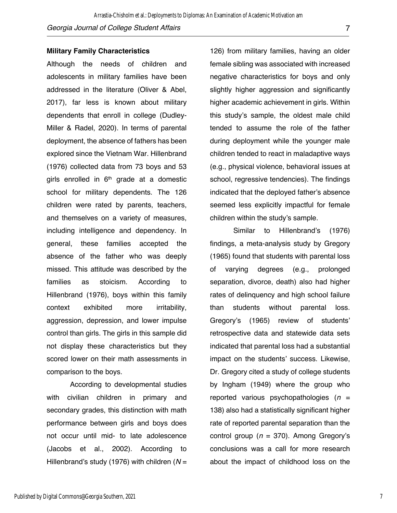#### **Military Family Characteristics**

Although the needs of children and adolescents in military families have been addressed in the literature (Oliver & Abel, 2017), far less is known about military dependents that enroll in college (Dudley-Miller & Radel, 2020). In terms of parental deployment, the absence of fathers has been explored since the Vietnam War. Hillenbrand (1976) collected data from 73 boys and 53 girls enrolled in  $6<sup>th</sup>$  grade at a domestic school for military dependents. The 126 children were rated by parents, teachers, and themselves on a variety of measures, including intelligence and dependency. In general, these families accepted the absence of the father who was deeply missed. This attitude was described by the families as stoicism. According to Hillenbrand (1976), boys within this family context exhibited more irritability, aggression, depression, and lower impulse control than girls. The girls in this sample did not display these characteristics but they scored lower on their math assessments in comparison to the boys.

According to developmental studies with civilian children in primary and secondary grades, this distinction with math performance between girls and boys does not occur until mid- to late adolescence (Jacobs et al., 2002). According to Hillenbrand's study (1976) with children (*N* =

126) from military families, having an older female sibling was associated with increased negative characteristics for boys and only slightly higher aggression and significantly higher academic achievement in girls. Within this study's sample, the oldest male child tended to assume the role of the father during deployment while the younger male children tended to react in maladaptive ways (e.g., physical violence, behavioral issues at school, regressive tendencies). The findings indicated that the deployed father's absence seemed less explicitly impactful for female children within the study's sample.

Similar to Hillenbrand's (1976) findings, a meta-analysis study by Gregory (1965) found that students with parental loss of varying degrees (e.g., prolonged separation, divorce, death) also had higher rates of delinquency and high school failure than students without parental loss. Gregory's (1965) review of students' retrospective data and statewide data sets indicated that parental loss had a substantial impact on the students' success. Likewise, Dr. Gregory cited a study of college students by Ingham (1949) where the group who reported various psychopathologies (*n* = 138) also had a statistically significant higher rate of reported parental separation than the control group (*n* = 370). Among Gregory's conclusions was a call for more research about the impact of childhood loss on the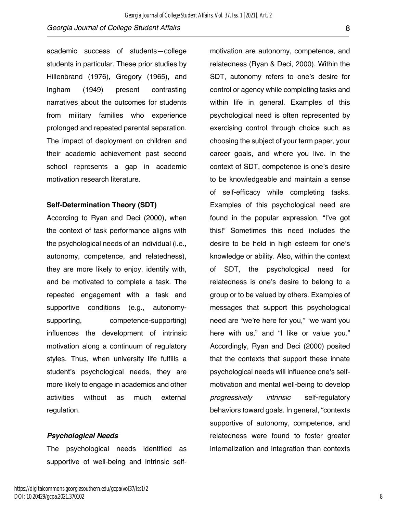academic success of students—college students in particular. These prior studies by Hillenbrand (1976), Gregory (1965), and Ingham (1949) present contrasting narratives about the outcomes for students from military families who experience prolonged and repeated parental separation. The impact of deployment on children and their academic achievement past second school represents a gap in academic motivation research literature.

#### **Self-Determination Theory (SDT)**

According to Ryan and Deci (2000), when the context of task performance aligns with the psychological needs of an individual (i.e., autonomy, competence, and relatedness), they are more likely to enjoy, identify with, and be motivated to complete a task. The repeated engagement with a task and supportive conditions (e.g., autonomysupporting, competence-supporting) influences the development of intrinsic motivation along a continuum of regulatory styles. Thus, when university life fulfills a student's psychological needs, they are more likely to engage in academics and other activities without as much external regulation.

#### *Psychological Needs*

The psychological needs identified as supportive of well-being and intrinsic self-

motivation are autonomy, competence, and relatedness (Ryan & Deci, 2000). Within the SDT, autonomy refers to one's desire for control or agency while completing tasks and within life in general. Examples of this psychological need is often represented by exercising control through choice such as choosing the subject of your term paper, your career goals, and where you live. In the context of SDT, competence is one's desire to be knowledgeable and maintain a sense of self-efficacy while completing tasks. Examples of this psychological need are found in the popular expression, "I've got this!" Sometimes this need includes the desire to be held in high esteem for one's knowledge or ability. Also, within the context of SDT, the psychological need for relatedness is one's desire to belong to a group or to be valued by others. Examples of messages that support this psychological need are "we're here for you," "we want you here with us," and "I like or value you." Accordingly, Ryan and Deci (2000) posited that the contexts that support these innate psychological needs will influence one's selfmotivation and mental well-being to develop *progressively intrinsic* self-regulatory behaviors toward goals. In general, "contexts supportive of autonomy, competence, and relatedness were found to foster greater internalization and integration than contexts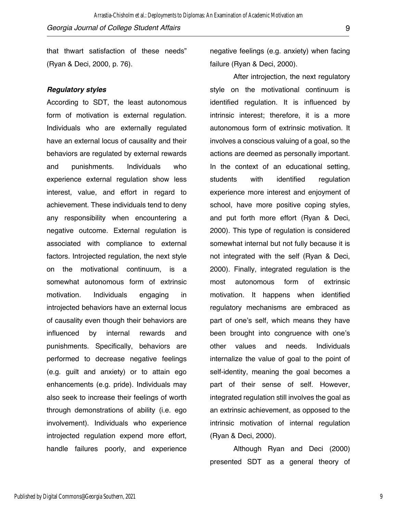that thwart satisfaction of these needs" (Ryan & Deci, 2000, p. 76).

#### *Regulatory styles*

According to SDT, the least autonomous form of motivation is external regulation. Individuals who are externally regulated have an external locus of causality and their behaviors are regulated by external rewards and punishments. Individuals who experience external regulation show less interest, value, and effort in regard to achievement. These individuals tend to deny any responsibility when encountering a negative outcome. External regulation is associated with compliance to external factors. Introjected regulation, the next style on the motivational continuum, is a somewhat autonomous form of extrinsic motivation. Individuals engaging in introjected behaviors have an external locus of causality even though their behaviors are influenced by internal rewards and punishments. Specifically, behaviors are performed to decrease negative feelings (e.g. guilt and anxiety) or to attain ego enhancements (e.g. pride). Individuals may also seek to increase their feelings of worth through demonstrations of ability (i.e. ego involvement). Individuals who experience introjected regulation expend more effort, handle failures poorly, and experience

negative feelings (e.g. anxiety) when facing failure (Ryan & Deci, 2000).

After introjection, the next regulatory style on the motivational continuum is identified regulation. It is influenced by intrinsic interest; therefore, it is a more autonomous form of extrinsic motivation. It involves a conscious valuing of a goal, so the actions are deemed as personally important. In the context of an educational setting, students with identified regulation experience more interest and enjoyment of school, have more positive coping styles, and put forth more effort (Ryan & Deci, 2000). This type of regulation is considered somewhat internal but not fully because it is not integrated with the self (Ryan & Deci, 2000). Finally, integrated regulation is the most autonomous form of extrinsic motivation. It happens when identified regulatory mechanisms are embraced as part of one's self, which means they have been brought into congruence with one's other values and needs. Individuals internalize the value of goal to the point of self-identity, meaning the goal becomes a part of their sense of self. However, integrated regulation still involves the goal as an extrinsic achievement, as opposed to the intrinsic motivation of internal regulation (Ryan & Deci, 2000).

Although Ryan and Deci (2000) presented SDT as a general theory of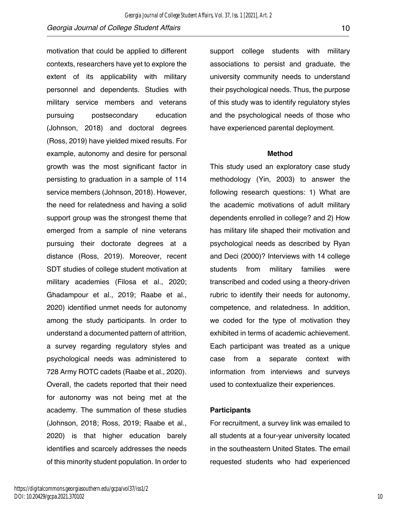motivation that could be applied to different contexts, researchers have yet to explore the extent of its applicability with military personnel and dependents. Studies with military service members and veterans pursuing postsecondary education (Johnson, 2018) and doctoral degrees (Ross, 2019) have yielded mixed results. For example, autonomy and desire for personal growth was the most significant factor in persisting to graduation in a sample of 114 service members (Johnson, 2018). However, the need for relatedness and having a solid support group was the strongest theme that emerged from a sample of nine veterans pursuing their doctorate degrees at a distance (Ross, 2019). Moreover, recent SDT studies of college student motivation at military academies (Filosa et al., 2020; Ghadampour et al., 2019; Raabe et al., 2020) identified unmet needs for autonomy among the study participants. In order to understand a documented pattern of attrition, a survey regarding regulatory styles and psychological needs was administered to 728 Army ROTC cadets (Raabe et al., 2020). Overall, the cadets reported that their need for autonomy was not being met at the academy. The summation of these studies (Johnson, 2018; Ross, 2019; Raabe et al., 2020) is that higher education barely identifies and scarcely addresses the needs of this minority student population. In order to

support college students with military associations to persist and graduate, the university community needs to understand their psychological needs. Thus, the purpose of this study was to identify regulatory styles and the psychological needs of those who have experienced parental deployment.

#### **Method**

This study used an exploratory case study methodology (Yin, 2003) to answer the following research questions: 1) What are the academic motivations of adult military dependents enrolled in college? and 2) How has military life shaped their motivation and psychological needs as described by Ryan and Deci (2000)? Interviews with 14 college students from military families were transcribed and coded using a theory-driven rubric to identify their needs for autonomy, competence, and relatedness. In addition, we coded for the type of motivation they exhibited in terms of academic achievement. Each participant was treated as a unique case from a separate context with information from interviews and surveys used to contextualize their experiences.

#### **Participants**

For recruitment, a survey link was emailed to all students at a four-year university located in the southeastern United States. The email requested students who had experienced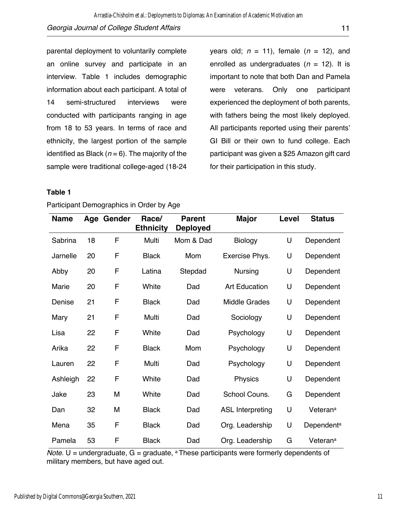parental deployment to voluntarily complete an online survey and participate in an interview. Table 1 includes demographic information about each participant. A total of 14 semi-structured interviews were conducted with participants ranging in age from 18 to 53 years. In terms of race and ethnicity, the largest portion of the sample identified as Black  $(n = 6)$ . The majority of the

years old; *n* = 11), female (*n* = 12), and enrolled as undergraduates  $(n = 12)$ . It is important to note that both Dan and Pamela were veterans. Only one participant experienced the deployment of both parents, with fathers being the most likely deployed. All participants reported using their parents' GI Bill or their own to fund college. Each participant was given a \$25 Amazon gift card for their participation in this study.

#### **Table 1**

| <b>Name</b> |    | Age Gender | Race/<br><b>Ethnicity</b> | <b>Parent</b><br><b>Deployed</b> | <b>Major</b>            | Level | <b>Status</b>          |
|-------------|----|------------|---------------------------|----------------------------------|-------------------------|-------|------------------------|
| Sabrina     | 18 | F          | Multi                     | Mom & Dad                        | <b>Biology</b>          | U     | Dependent              |
| Jarnelle    | 20 | F          | <b>Black</b>              | Mom                              | Exercise Phys.          | U     | Dependent              |
| Abby        | 20 | F          | Latina                    | Stepdad                          | <b>Nursing</b>          | U     | Dependent              |
| Marie       | 20 | F          | White                     | Dad                              | <b>Art Education</b>    | U     | Dependent              |
| Denise      | 21 | F          | <b>Black</b>              | Dad                              | <b>Middle Grades</b>    | U     | Dependent              |
| Mary        | 21 | F          | Multi                     | Dad                              | Sociology               | U     | Dependent              |
| Lisa        | 22 | F          | White                     | Dad                              | Psychology              | U     | Dependent              |
| Arika       | 22 | F          | <b>Black</b>              | Mom                              | Psychology              | U     | Dependent              |
| Lauren      | 22 | F          | Multi                     | Dad                              | Psychology              | U     | Dependent              |
| Ashleigh    | 22 | F          | White                     | Dad                              | Physics                 | U     | Dependent              |
| Jake        | 23 | M          | White                     | Dad                              | School Couns.           | G     | Dependent              |
| Dan         | 32 | M          | <b>Black</b>              | Dad                              | <b>ASL Interpreting</b> | U     | Veteran <sup>a</sup>   |
| Mena        | 35 | F          | <b>Black</b>              | Dad                              | Org. Leadership         | U     | Dependent <sup>a</sup> |
| Pamela      | 53 | F          | <b>Black</b>              | Dad                              | Org. Leadership         | G     | Veteran <sup>a</sup>   |

Participant Demographics in Order by Age

sample were traditional college-aged (18-24

 $$ military members, but have aged out.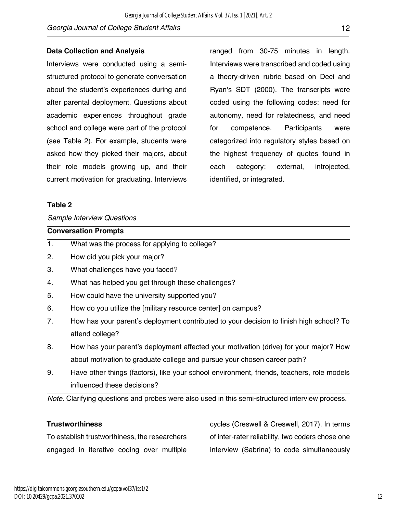#### **Data Collection and Analysis**

Interviews were conducted using a semistructured protocol to generate conversation about the student's experiences during and after parental deployment. Questions about academic experiences throughout grade school and college were part of the protocol (see Table 2). For example, students were asked how they picked their majors, about their role models growing up, and their current motivation for graduating. Interviews

ranged from 30-75 minutes in length. Interviews were transcribed and coded using a theory-driven rubric based on Deci and Ryan's SDT (2000). The transcripts were coded using the following codes: need for autonomy, need for relatedness, and need for competence. Participants were categorized into regulatory styles based on the highest frequency of quotes found in each category: external, introjected, identified, or integrated.

#### **Table 2**

#### *Sample Interview Questions*

|    | <b>Conversation Prompts</b>                                                             |
|----|-----------------------------------------------------------------------------------------|
| 1. | What was the process for applying to college?                                           |
| 2. | How did you pick your major?                                                            |
| 3. | What challenges have you faced?                                                         |
| 4. | What has helped you get through these challenges?                                       |
| 5. | How could have the university supported you?                                            |
| 6. | How do you utilize the [military resource center] on campus?                            |
| 7. | How has your parent's deployment contributed to your decision to finish high school? To |
|    | attend college?                                                                         |
| 8. | How has your parent's deployment affected your motivation (drive) for your major? How   |
|    | about motivation to graduate college and pursue your chosen career path?                |

9. Have other things (factors), like your school environment, friends, teachers, role models influenced these decisions?

*Note.* Clarifying questions and probes were also used in this semi-structured interview process.

#### **Trustworthiness**

To establish trustworthiness, the researchers engaged in iterative coding over multiple cycles (Creswell & Creswell, 2017). In terms of inter-rater reliability, two coders chose one interview (Sabrina) to code simultaneously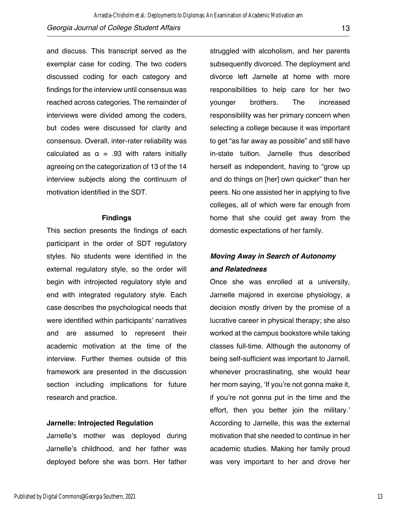and discuss. This transcript served as the exemplar case for coding. The two coders discussed coding for each category and findings for the interview until consensus was reached across categories. The remainder of interviews were divided among the coders, but codes were discussed for clarity and consensus. Overall, inter-rater reliability was calculated as  $\alpha = .93$  with raters initially agreeing on the categorization of 13 of the 14 interview subjects along the continuum of motivation identified in the SDT.

#### **Findings**

This section presents the findings of each participant in the order of SDT regulatory styles. No students were identified in the external regulatory style, so the order will begin with introjected regulatory style and end with integrated regulatory style. Each case describes the psychological needs that were identified within participants' narratives and are assumed to represent their academic motivation at the time of the interview. Further themes outside of this framework are presented in the discussion section including implications for future research and practice.

#### **Jarnelle: Introjected Regulation**

Jarnelle's mother was deployed during Jarnelle's childhood, and her father was deployed before she was born. Her father

struggled with alcoholism, and her parents subsequently divorced. The deployment and divorce left Jarnelle at home with more responsibilities to help care for her two younger brothers. The increased responsibility was her primary concern when selecting a college because it was important to get "as far away as possible" and still have in-state tuition. Jarnelle thus described herself as independent, having to "grow up and do things on [her] own quicker" than her peers. No one assisted her in applying to five colleges, all of which were far enough from home that she could get away from the domestic expectations of her family.

### *Moving Away in Search of Autonomy and Relatedness*

Once she was enrolled at a university, Jarnelle majored in exercise physiology, a decision mostly driven by the promise of a lucrative career in physical therapy; she also worked at the campus bookstore while taking classes full-time. Although the autonomy of being self-sufficient was important to Jarnell, whenever procrastinating, she would hear her mom saying, 'If you're not gonna make it, if you're not gonna put in the time and the effort, then you better join the military.' According to Jarnelle, this was the external motivation that she needed to continue in her academic studies. Making her family proud was very important to her and drove her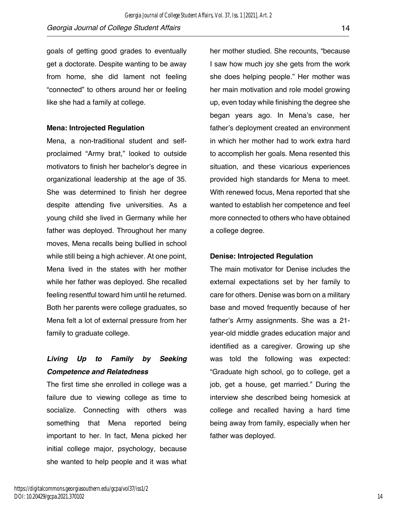goals of getting good grades to eventually get a doctorate. Despite wanting to be away from home, she did lament not feeling "connected" to others around her or feeling like she had a family at college.

#### **Mena: Introjected Regulation**

Mena, a non-traditional student and selfproclaimed "Army brat," looked to outside motivators to finish her bachelor's degree in organizational leadership at the age of 35. She was determined to finish her degree despite attending five universities. As a young child she lived in Germany while her father was deployed. Throughout her many moves, Mena recalls being bullied in school while still being a high achiever. At one point, Mena lived in the states with her mother while her father was deployed. She recalled feeling resentful toward him until he returned. Both her parents were college graduates, so Mena felt a lot of external pressure from her family to graduate college.

# *Living Up to Family by Seeking Competence and Relatedness*

The first time she enrolled in college was a failure due to viewing college as time to socialize. Connecting with others was something that Mena reported being important to her. In fact, Mena picked her initial college major, psychology, because she wanted to help people and it was what her mother studied. She recounts, "because I saw how much joy she gets from the work she does helping people." Her mother was her main motivation and role model growing up, even today while finishing the degree she began years ago. In Mena's case, her father's deployment created an environment in which her mother had to work extra hard to accomplish her goals. Mena resented this situation, and these vicarious experiences provided high standards for Mena to meet. With renewed focus, Mena reported that she wanted to establish her competence and feel more connected to others who have obtained a college degree.

#### **Denise: Introjected Regulation**

The main motivator for Denise includes the external expectations set by her family to care for others. Denise was born on a military base and moved frequently because of her father's Army assignments. She was a 21 year-old middle grades education major and identified as a caregiver. Growing up she was told the following was expected: "Graduate high school, go to college, get a job, get a house, get married." During the interview she described being homesick at college and recalled having a hard time being away from family, especially when her father was deployed.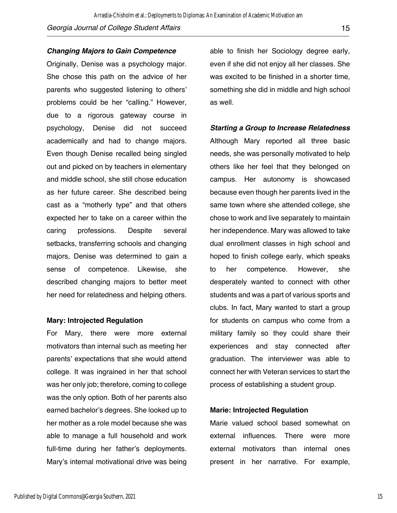#### *Changing Majors to Gain Competence*

Originally, Denise was a psychology major. She chose this path on the advice of her parents who suggested listening to others' problems could be her "calling." However, due to a rigorous gateway course in psychology, Denise did not succeed academically and had to change majors. Even though Denise recalled being singled out and picked on by teachers in elementary and middle school, she still chose education as her future career. She described being cast as a "motherly type" and that others expected her to take on a career within the caring professions. Despite several setbacks, transferring schools and changing majors, Denise was determined to gain a sense of competence. Likewise, she described changing majors to better meet her need for relatedness and helping others.

#### **Mary: Introjected Regulation**

For Mary, there were more external motivators than internal such as meeting her parents' expectations that she would attend college. It was ingrained in her that school was her only job; therefore, coming to college was the only option. Both of her parents also earned bachelor's degrees. She looked up to her mother as a role model because she was able to manage a full household and work full-time during her father's deployments. Mary's internal motivational drive was being

able to finish her Sociology degree early, even if she did not enjoy all her classes. She was excited to be finished in a shorter time, something she did in middle and high school as well.

#### *Starting a Group to Increase Relatedness*

Although Mary reported all three basic needs, she was personally motivated to help others like her feel that they belonged on campus. Her autonomy is showcased because even though her parents lived in the same town where she attended college, she chose to work and live separately to maintain her independence. Mary was allowed to take dual enrollment classes in high school and hoped to finish college early, which speaks to her competence. However, she desperately wanted to connect with other students and was a part of various sports and clubs. In fact, Mary wanted to start a group for students on campus who come from a military family so they could share their experiences and stay connected after graduation. The interviewer was able to connect her with Veteran services to start the process of establishing a student group.

#### **Marie: Introjected Regulation**

Marie valued school based somewhat on external influences. There were more external motivators than internal ones present in her narrative. For example,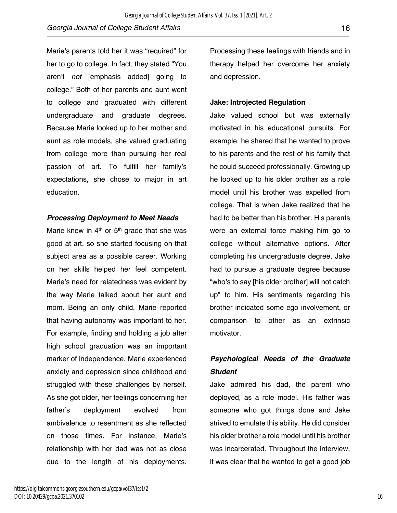Marie's parents told her it was "required" for her to go to college. In fact, they stated "You aren't *not* [emphasis added] going to college." Both of her parents and aunt went to college and graduated with different undergraduate and graduate degrees. Because Marie looked up to her mother and aunt as role models, she valued graduating from college more than pursuing her real passion of art. To fulfill her family's expectations, she chose to major in art education.

#### *Processing Deployment to Meet Needs*

Marie knew in  $4<sup>th</sup>$  or  $5<sup>th</sup>$  grade that she was good at art, so she started focusing on that subject area as a possible career. Working on her skills helped her feel competent. Marie's need for relatedness was evident by the way Marie talked about her aunt and mom. Being an only child, Marie reported that having autonomy was important to her. For example, finding and holding a job after high school graduation was an important marker of independence. Marie experienced anxiety and depression since childhood and struggled with these challenges by herself. As she got older, her feelings concerning her father's deployment evolved from ambivalence to resentment as she reflected on those times. For instance, Marie's relationship with her dad was not as close due to the length of his deployments.

Processing these feelings with friends and in therapy helped her overcome her anxiety and depression.

#### **Jake: Introjected Regulation**

Jake valued school but was externally motivated in his educational pursuits. For example, he shared that he wanted to prove to his parents and the rest of his family that he could succeed professionally. Growing up he looked up to his older brother as a role model until his brother was expelled from college. That is when Jake realized that he had to be better than his brother. His parents were an external force making him go to college without alternative options. After completing his undergraduate degree, Jake had to pursue a graduate degree because "who's to say [his older brother] will not catch up" to him. His sentiments regarding his brother indicated some ego involvement, or comparison to other as an extrinsic motivator.

# *Psychological Needs of the Graduate Student*

Jake admired his dad, the parent who deployed, as a role model. His father was someone who got things done and Jake strived to emulate this ability. He did consider his older brother a role model until his brother was incarcerated. Throughout the interview, it was clear that he wanted to get a good job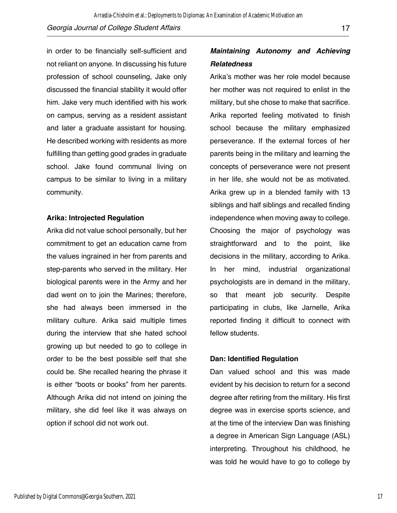in order to be financially self-sufficient and not reliant on anyone. In discussing his future profession of school counseling, Jake only discussed the financial stability it would offer him. Jake very much identified with his work on campus, serving as a resident assistant and later a graduate assistant for housing. He described working with residents as more fulfilling than getting good grades in graduate school. Jake found communal living on campus to be similar to living in a military community.

#### **Arika: Introjected Regulation**

Arika did not value school personally, but her commitment to get an education came from the values ingrained in her from parents and step-parents who served in the military. Her biological parents were in the Army and her dad went on to join the Marines; therefore, she had always been immersed in the military culture. Arika said multiple times during the interview that she hated school growing up but needed to go to college in order to be the best possible self that she could be. She recalled hearing the phrase it is either "boots or books" from her parents. Although Arika did not intend on joining the military, she did feel like it was always on option if school did not work out.

# *Maintaining Autonomy and Achieving Relatedness*

Arika's mother was her role model because her mother was not required to enlist in the military, but she chose to make that sacrifice. Arika reported feeling motivated to finish school because the military emphasized perseverance. If the external forces of her parents being in the military and learning the concepts of perseverance were not present in her life, she would not be as motivated. Arika grew up in a blended family with 13 siblings and half siblings and recalled finding independence when moving away to college. Choosing the major of psychology was straightforward and to the point, like decisions in the military, according to Arika. In her mind, industrial organizational psychologists are in demand in the military, so that meant job security. Despite participating in clubs, like Jarnelle, Arika reported finding it difficult to connect with fellow students.

#### **Dan: Identified Regulation**

Dan valued school and this was made evident by his decision to return for a second degree after retiring from the military. His first degree was in exercise sports science, and at the time of the interview Dan was finishing a degree in American Sign Language (ASL) interpreting. Throughout his childhood, he was told he would have to go to college by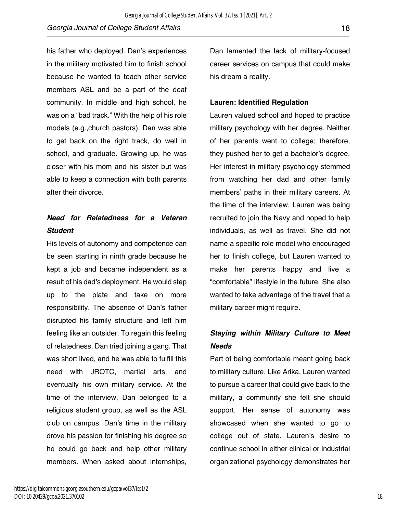his father who deployed. Dan's experiences in the military motivated him to finish school because he wanted to teach other service members ASL and be a part of the deaf community. In middle and high school, he was on a "bad track." With the help of his role models (e.g.,church pastors), Dan was able to get back on the right track, do well in school, and graduate. Growing up, he was closer with his mom and his sister but was able to keep a connection with both parents after their divorce.

## *Need for Relatedness for a Veteran Student*

His levels of autonomy and competence can be seen starting in ninth grade because he kept a job and became independent as a result of his dad's deployment. He would step up to the plate and take on more responsibility. The absence of Dan's father disrupted his family structure and left him feeling like an outsider. To regain this feeling of relatedness, Dan tried joining a gang. That was short lived, and he was able to fulfill this need with JROTC, martial arts, and eventually his own military service. At the time of the interview, Dan belonged to a religious student group, as well as the ASL club on campus. Dan's time in the military drove his passion for finishing his degree so he could go back and help other military members. When asked about internships,

Dan lamented the lack of military-focused career services on campus that could make his dream a reality.

#### **Lauren: Identified Regulation**

Lauren valued school and hoped to practice military psychology with her degree. Neither of her parents went to college; therefore, they pushed her to get a bachelor's degree. Her interest in military psychology stemmed from watching her dad and other family members' paths in their military careers. At the time of the interview, Lauren was being recruited to join the Navy and hoped to help individuals, as well as travel. She did not name a specific role model who encouraged her to finish college, but Lauren wanted to make her parents happy and live a "comfortable" lifestyle in the future. She also wanted to take advantage of the travel that a military career might require.

# *Staying within Military Culture to Meet Needs*

Part of being comfortable meant going back to military culture. Like Arika, Lauren wanted to pursue a career that could give back to the military, a community she felt she should support. Her sense of autonomy was showcased when she wanted to go to college out of state. Lauren's desire to continue school in either clinical or industrial organizational psychology demonstrates her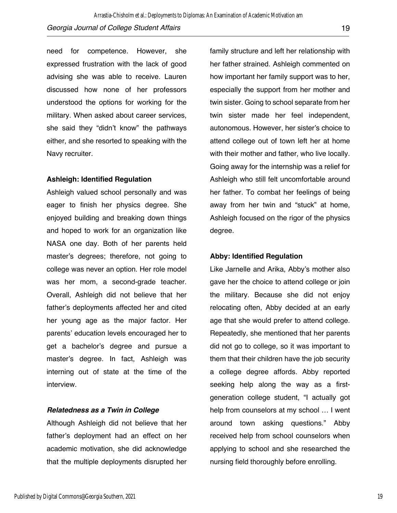need for competence. However, she expressed frustration with the lack of good advising she was able to receive. Lauren discussed how none of her professors understood the options for working for the military. When asked about career services, she said they "didn't know" the pathways either, and she resorted to speaking with the Navy recruiter.

#### **Ashleigh: Identified Regulation**

Ashleigh valued school personally and was eager to finish her physics degree. She enjoyed building and breaking down things and hoped to work for an organization like NASA one day. Both of her parents held master's degrees; therefore, not going to college was never an option. Her role model was her mom, a second-grade teacher. Overall, Ashleigh did not believe that her father's deployments affected her and cited her young age as the major factor. Her parents' education levels encouraged her to get a bachelor's degree and pursue a master's degree. In fact, Ashleigh was interning out of state at the time of the interview.

#### *Relatedness as a Twin in College*

Although Ashleigh did not believe that her father's deployment had an effect on her academic motivation, she did acknowledge that the multiple deployments disrupted her

family structure and left her relationship with her father strained. Ashleigh commented on how important her family support was to her, especially the support from her mother and twin sister. Going to school separate from her twin sister made her feel independent, autonomous. However, her sister's choice to attend college out of town left her at home with their mother and father, who live locally. Going away for the internship was a relief for Ashleigh who still felt uncomfortable around her father. To combat her feelings of being away from her twin and "stuck" at home, Ashleigh focused on the rigor of the physics degree.

#### **Abby: Identified Regulation**

Like Jarnelle and Arika, Abby's mother also gave her the choice to attend college or join the military. Because she did not enjoy relocating often, Abby decided at an early age that she would prefer to attend college. Repeatedly, she mentioned that her parents did not go to college, so it was important to them that their children have the job security a college degree affords. Abby reported seeking help along the way as a firstgeneration college student, "I actually got help from counselors at my school … I went around town asking questions." Abby received help from school counselors when applying to school and she researched the nursing field thoroughly before enrolling.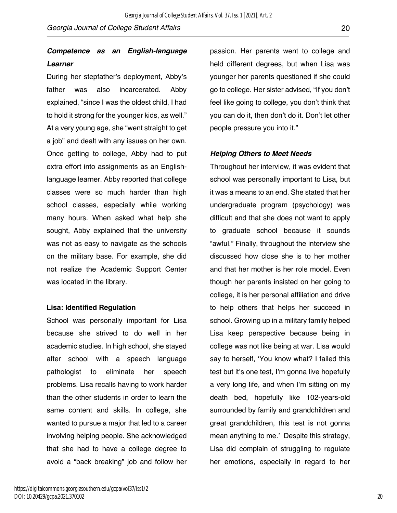### *Competence as an English-language Learner*

During her stepfather's deployment, Abby's father was also incarcerated. Abby explained, "since I was the oldest child, I had to hold it strong for the younger kids, as well." At a very young age, she "went straight to get a job" and dealt with any issues on her own. Once getting to college, Abby had to put extra effort into assignments as an Englishlanguage learner. Abby reported that college classes were so much harder than high school classes, especially while working many hours. When asked what help she sought, Abby explained that the university was not as easy to navigate as the schools on the military base. For example, she did not realize the Academic Support Center was located in the library.

#### **Lisa: Identified Regulation**

School was personally important for Lisa because she strived to do well in her academic studies. In high school, she stayed after school with a speech language pathologist to eliminate her speech problems. Lisa recalls having to work harder than the other students in order to learn the same content and skills. In college, she wanted to pursue a major that led to a career involving helping people. She acknowledged that she had to have a college degree to avoid a "back breaking" job and follow her

passion. Her parents went to college and held different degrees, but when Lisa was younger her parents questioned if she could go to college. Her sister advised, "If you don't feel like going to college, you don't think that you can do it, then don't do it. Don't let other people pressure you into it."

#### *Helping Others to Meet Needs*

Throughout her interview, it was evident that school was personally important to Lisa, but it was a means to an end. She stated that her undergraduate program (psychology) was difficult and that she does not want to apply to graduate school because it sounds "awful." Finally, throughout the interview she discussed how close she is to her mother and that her mother is her role model. Even though her parents insisted on her going to college, it is her personal affiliation and drive to help others that helps her succeed in school. Growing up in a military family helped Lisa keep perspective because being in college was not like being at war. Lisa would say to herself, 'You know what? I failed this test but it's one test, I'm gonna live hopefully a very long life, and when I'm sitting on my death bed, hopefully like 102-years-old surrounded by family and grandchildren and great grandchildren, this test is not gonna mean anything to me.' Despite this strategy, Lisa did complain of struggling to regulate her emotions, especially in regard to her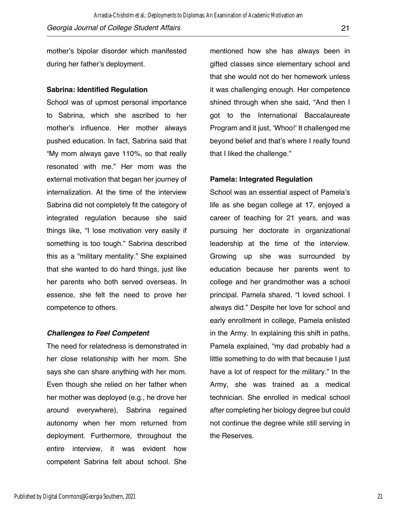mother's bipolar disorder which manifested during her father's deployment.

#### **Sabrina: Identified Regulation**

School was of upmost personal importance to Sabrina, which she ascribed to her mother's influence. Her mother always pushed education. In fact, Sabrina said that "My mom always gave 110%, so that really resonated with me." Her mom was the external motivation that began her journey of internalization. At the time of the interview Sabrina did not completely fit the category of integrated regulation because she said things like, "I lose motivation very easily if something is too tough." Sabrina described this as a "military mentality." She explained that she wanted to do hard things, just like her parents who both served overseas. In essence, she felt the need to prove her competence to others.

#### *Challenges to Feel Competent*

The need for relatedness is demonstrated in her close relationship with her mom. She says she can share anything with her mom. Even though she relied on her father when her mother was deployed (e.g., he drove her around everywhere), Sabrina regained autonomy when her mom returned from deployment. Furthermore, throughout the entire interview, it was evident how competent Sabrina felt about school. She

mentioned how she has always been in gifted classes since elementary school and that she would not do her homework unless it was challenging enough. Her competence shined through when she said, "And then I got to the International Baccalaureate Program and it just, 'Whoo!' It challenged me beyond belief and that's where I really found that I liked the challenge."

#### **Pamela: Integrated Regulation**

School was an essential aspect of Pamela's life as she began college at 17, enjoyed a career of teaching for 21 years, and was pursuing her doctorate in organizational leadership at the time of the interview. Growing up she was surrounded by education because her parents went to college and her grandmother was a school principal. Pamela shared, "I loved school. I always did." Despite her love for school and early enrollment in college, Pamela enlisted in the Army. In explaining this shift in paths, Pamela explained, "my dad probably had a little something to do with that because I just have a lot of respect for the military." In the Army, she was trained as a medical technician. She enrolled in medical school after completing her biology degree but could not continue the degree while still serving in the Reserves.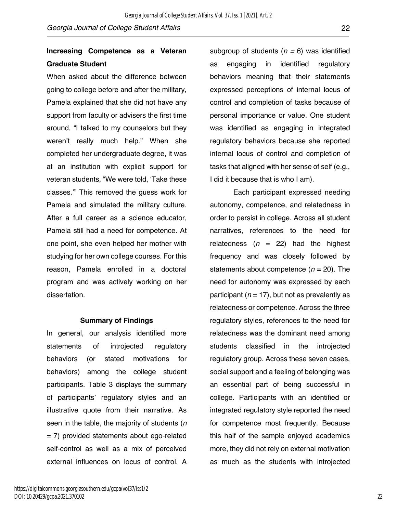### **Increasing Competence as a Veteran Graduate Student**

When asked about the difference between going to college before and after the military, Pamela explained that she did not have any support from faculty or advisers the first time around, "I talked to my counselors but they weren't really much help." When she completed her undergraduate degree, it was at an institution with explicit support for veteran students, "We were told, 'Take these classes.'" This removed the guess work for Pamela and simulated the military culture. After a full career as a science educator, Pamela still had a need for competence. At one point, she even helped her mother with studying for her own college courses. For this reason, Pamela enrolled in a doctoral program and was actively working on her dissertation.

#### **Summary of Findings**

In general, our analysis identified more statements of introjected regulatory behaviors (or stated motivations for behaviors) among the college student participants. Table 3 displays the summary of participants' regulatory styles and an illustrative quote from their narrative. As seen in the table, the majority of students (*n* = 7) provided statements about ego-related self-control as well as a mix of perceived external influences on locus of control. A

subgroup of students (*n =* 6) was identified as engaging in identified regulatory behaviors meaning that their statements expressed perceptions of internal locus of control and completion of tasks because of personal importance or value. One student was identified as engaging in integrated regulatory behaviors because she reported internal locus of control and completion of tasks that aligned with her sense of self (e.g., I did it because that is who I am).

Each participant expressed needing autonomy, competence, and relatedness in order to persist in college. Across all student narratives, references to the need for relatedness  $(n = 22)$  had the highest frequency and was closely followed by statements about competence  $(n = 20)$ . The need for autonomy was expressed by each participant ( $n = 17$ ), but not as prevalently as relatedness or competence. Across the three regulatory styles, references to the need for relatedness was the dominant need among students classified in the introjected regulatory group. Across these seven cases, social support and a feeling of belonging was an essential part of being successful in college. Participants with an identified or integrated regulatory style reported the need for competence most frequently. Because this half of the sample enjoyed academics more, they did not rely on external motivation as much as the students with introjected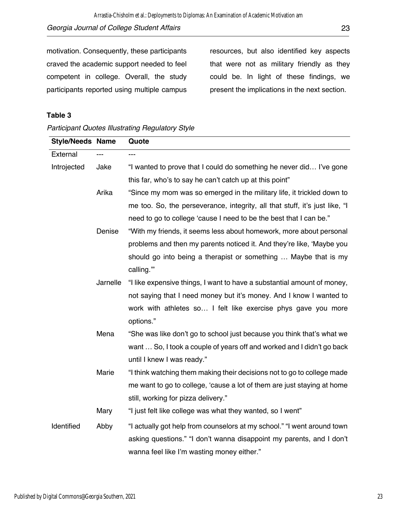motivation. Consequently, these participants craved the academic support needed to feel competent in college. Overall, the study participants reported using multiple campus resources, but also identified key aspects that were not as military friendly as they could be. In light of these findings, we present the implications in the next section.

#### **Table 3**

|  | <b>Participant Quotes Illustrating Regulatory Style</b> |  |
|--|---------------------------------------------------------|--|
|  |                                                         |  |

| <b>Style/Needs Name</b> |          | Quote                                                                       |
|-------------------------|----------|-----------------------------------------------------------------------------|
| External                |          |                                                                             |
| Introjected             | Jake     | "I wanted to prove that I could do something he never did I've gone         |
|                         |          | this far, who's to say he can't catch up at this point"                     |
|                         | Arika    | "Since my mom was so emerged in the military life, it trickled down to      |
|                         |          | me too. So, the perseverance, integrity, all that stuff, it's just like, "I |
|                         |          | need to go to college 'cause I need to be the best that I can be."          |
|                         | Denise   | "With my friends, it seems less about homework, more about personal         |
|                         |          | problems and then my parents noticed it. And they're like, 'Maybe you       |
|                         |          | should go into being a therapist or something  Maybe that is my             |
|                         |          | calling."                                                                   |
|                         | Jarnelle | "I like expensive things, I want to have a substantial amount of money,     |
|                         |          | not saying that I need money but it's money. And I know I wanted to         |
|                         |          | work with athletes so I felt like exercise phys gave you more               |
|                         |          | options."                                                                   |
|                         | Mena     | "She was like don't go to school just because you think that's what we      |
|                         |          | want  So, I took a couple of years off and worked and I didn't go back      |
|                         |          | until I knew I was ready."                                                  |
|                         | Marie    | "I think watching them making their decisions not to go to college made     |
|                         |          | me want to go to college, 'cause a lot of them are just staying at home     |
|                         |          | still, working for pizza delivery."                                         |
|                         | Mary     | "I just felt like college was what they wanted, so I went"                  |
| Identified              | Abby     | "I actually got help from counselors at my school." "I went around town     |
|                         |          | asking questions." "I don't wanna disappoint my parents, and I don't        |
|                         |          | wanna feel like I'm wasting money either."                                  |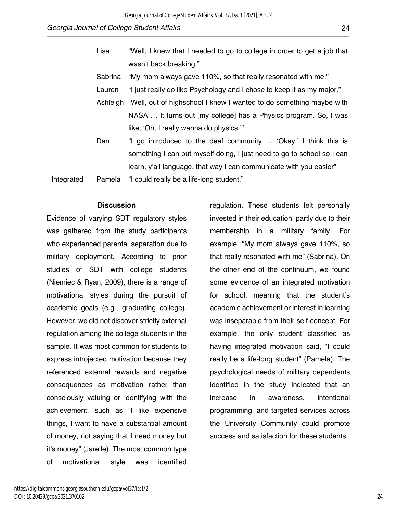|            | Lisa    | "Well, I knew that I needed to go to college in order to get a job that      |
|------------|---------|------------------------------------------------------------------------------|
|            |         | wasn't back breaking."                                                       |
|            | Sabrina | "My mom always gave 110%, so that really resonated with me."                 |
|            | Lauren  | "I just really do like Psychology and I chose to keep it as my major."       |
|            |         | Ashleigh "Well, out of highschool I knew I wanted to do something maybe with |
|            |         | NASA  It turns out [my college] has a Physics program. So, I was             |
|            |         | like, 'Oh, I really wanna do physics."                                       |
|            | Dan     | "I go introduced to the deaf community  'Okay.' I think this is              |
|            |         | something I can put myself doing, I just need to go to school so I can       |
|            |         | learn, y'all language, that way I can communicate with you easier"           |
| Integrated | Pamela  | "I could really be a life-long student."                                     |

#### **Discussion**

Evidence of varying SDT regulatory styles was gathered from the study participants who experienced parental separation due to military deployment. According to prior studies of SDT with college students (Niemiec & Ryan, 2009), there is a range of motivational styles during the pursuit of academic goals (e.g., graduating college). However, we did not discover strictly external regulation among the college students in the sample. It was most common for students to express introjected motivation because they referenced external rewards and negative consequences as motivation rather than consciously valuing or identifying with the achievement, such as "I like expensive things, I want to have a substantial amount of money, not saying that I need money but it's money" (Jarelle). The most common type of motivational style was identified

regulation. These students felt personally invested in their education, partly due to their membership in a military family. For example, "My mom always gave 110%, so that really resonated with me" (Sabrina). On the other end of the continuum, we found some evidence of an integrated motivation for school, meaning that the student's academic achievement or interest in learning was inseparable from their self-concept. For example, the only student classified as having integrated motivation said, "I could really be a life-long student" (Pamela). The psychological needs of military dependents identified in the study indicated that an increase in awareness, intentional programming, and targeted services across the University Community could promote success and satisfaction for these students.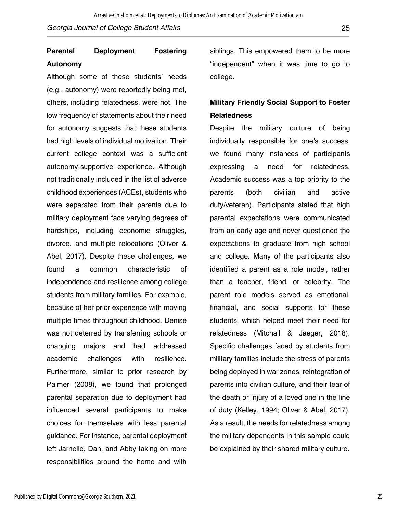### **Parental Deployment Fostering Autonomy**

Although some of these students' needs (e.g., autonomy) were reportedly being met, others, including relatedness, were not. The low frequency of statements about their need for autonomy suggests that these students had high levels of individual motivation. Their current college context was a sufficient autonomy-supportive experience. Although not traditionally included in the list of adverse childhood experiences (ACEs), students who were separated from their parents due to military deployment face varying degrees of hardships, including economic struggles, divorce, and multiple relocations (Oliver & Abel, 2017). Despite these challenges, we found a common characteristic of independence and resilience among college students from military families. For example, because of her prior experience with moving multiple times throughout childhood, Denise was not deterred by transferring schools or changing majors and had addressed academic challenges with resilience. Furthermore, similar to prior research by Palmer (2008), we found that prolonged parental separation due to deployment had influenced several participants to make choices for themselves with less parental guidance. For instance, parental deployment left Jarnelle, Dan, and Abby taking on more responsibilities around the home and with

siblings. This empowered them to be more "independent" when it was time to go to college.

### **Military Friendly Social Support to Foster Relatedness**

Despite the military culture of being individually responsible for one's success, we found many instances of participants expressing a need for relatedness. Academic success was a top priority to the parents (both civilian and active duty/veteran). Participants stated that high parental expectations were communicated from an early age and never questioned the expectations to graduate from high school and college. Many of the participants also identified a parent as a role model, rather than a teacher, friend, or celebrity. The parent role models served as emotional, financial, and social supports for these students, which helped meet their need for relatedness (Mitchall & Jaeger, 2018). Specific challenges faced by students from military families include the stress of parents being deployed in war zones, reintegration of parents into civilian culture, and their fear of the death or injury of a loved one in the line of duty (Kelley, 1994; Oliver & Abel, 2017). As a result, the needs for relatedness among the military dependents in this sample could be explained by their shared military culture.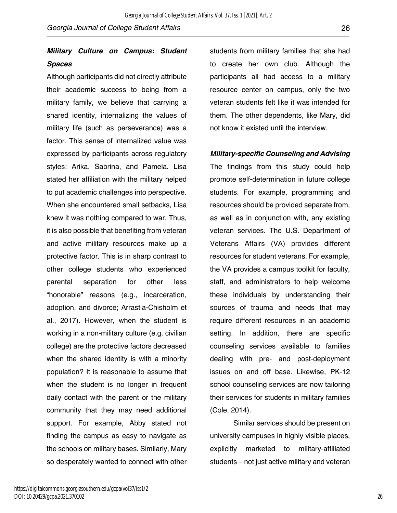### *Military Culture on Campus: Student Spaces*

Although participants did not directly attribute their academic success to being from a military family, we believe that carrying a shared identity, internalizing the values of military life (such as perseverance) was a factor. This sense of internalized value was expressed by participants across regulatory styles: Arika, Sabrina, and Pamela. Lisa stated her affiliation with the military helped to put academic challenges into perspective. When she encountered small setbacks, Lisa knew it was nothing compared to war. Thus, it is also possible that benefiting from veteran and active military resources make up a protective factor. This is in sharp contrast to other college students who experienced parental separation for other less "honorable" reasons (e.g., incarceration, adoption, and divorce; Arrastia-Chisholm et al., 2017). However, when the student is working in a non-military culture (e.g. civilian college) are the protective factors decreased when the shared identity is with a minority population? It is reasonable to assume that when the student is no longer in frequent daily contact with the parent or the military community that they may need additional support. For example, Abby stated not finding the campus as easy to navigate as the schools on military bases. Similarly, Mary so desperately wanted to connect with other

students from military families that she had to create her own club. Although the participants all had access to a military resource center on campus, only the two veteran students felt like it was intended for them. The other dependents, like Mary, did not know it existed until the interview.

#### *Military-specific Counseling and Advising*

The findings from this study could help promote self-determination in future college students. For example, programming and resources should be provided separate from, as well as in conjunction with, any existing veteran services. The U.S. Department of Veterans Affairs (VA) provides different resources for student veterans. For example, the VA provides a campus toolkit for faculty, staff, and administrators to help welcome these individuals by understanding their sources of trauma and needs that may require different resources in an academic setting. In addition, there are specific counseling services available to families dealing with pre- and post-deployment issues on and off base. Likewise, PK-12 school counseling services are now tailoring their services for students in military families (Cole, 2014).

Similar services should be present on university campuses in highly visible places, explicitly marketed to military-affiliated students – not just active military and veteran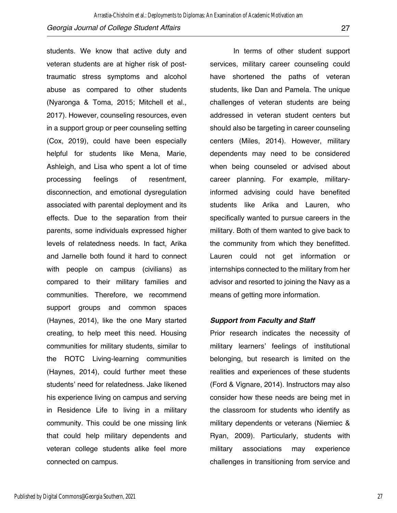students. We know that active duty and veteran students are at higher risk of posttraumatic stress symptoms and alcohol abuse as compared to other students (Nyaronga & Toma, 2015; Mitchell et al., 2017). However, counseling resources, even in a support group or peer counseling setting (Cox, 2019), could have been especially helpful for students like Mena, Marie, Ashleigh, and Lisa who spent a lot of time processing feelings of resentment, disconnection, and emotional dysregulation associated with parental deployment and its effects. Due to the separation from their parents, some individuals expressed higher levels of relatedness needs. In fact, Arika and Jarnelle both found it hard to connect with people on campus (civilians) as compared to their military families and communities. Therefore, we recommend support groups and common spaces (Haynes, 2014), like the one Mary started creating, to help meet this need. Housing communities for military students, similar to the ROTC Living-learning communities (Haynes, 2014), could further meet these students' need for relatedness. Jake likened his experience living on campus and serving in Residence Life to living in a military community. This could be one missing link that could help military dependents and veteran college students alike feel more connected on campus.

In terms of other student support services, military career counseling could have shortened the paths of veteran students, like Dan and Pamela. The unique challenges of veteran students are being addressed in veteran student centers but should also be targeting in career counseling centers (Miles, 2014). However, military dependents may need to be considered when being counseled or advised about career planning. For example, militaryinformed advising could have benefited students like Arika and Lauren, who specifically wanted to pursue careers in the military. Both of them wanted to give back to the community from which they benefitted. Lauren could not get information or internships connected to the military from her advisor and resorted to joining the Navy as a means of getting more information.

#### *Support from Faculty and Staff*

Prior research indicates the necessity of military learners' feelings of institutional belonging, but research is limited on the realities and experiences of these students (Ford & Vignare, 2014). Instructors may also consider how these needs are being met in the classroom for students who identify as military dependents or veterans (Niemiec & Ryan, 2009). Particularly, students with military associations may experience challenges in transitioning from service and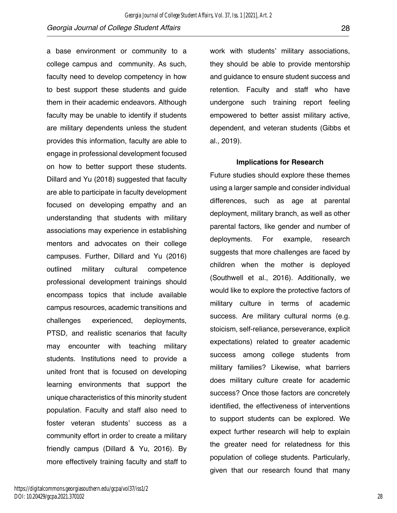a base environment or community to a college campus and community. As such, faculty need to develop competency in how to best support these students and guide them in their academic endeavors. Although faculty may be unable to identify if students are military dependents unless the student provides this information, faculty are able to engage in professional development focused on how to better support these students. Dillard and Yu (2018) suggested that faculty are able to participate in faculty development focused on developing empathy and an understanding that students with military associations may experience in establishing mentors and advocates on their college campuses. Further, Dillard and Yu (2016) outlined military cultural competence professional development trainings should encompass topics that include available campus resources, academic transitions and challenges experienced, deployments, PTSD, and realistic scenarios that faculty may encounter with teaching military students. Institutions need to provide a united front that is focused on developing learning environments that support the unique characteristics of this minority student population. Faculty and staff also need to foster veteran students' success as a community effort in order to create a military friendly campus (Dillard & Yu, 2016). By more effectively training faculty and staff to

work with students' military associations, they should be able to provide mentorship and guidance to ensure student success and retention. Faculty and staff who have undergone such training report feeling empowered to better assist military active, dependent, and veteran students (Gibbs et al., 2019).

#### **Implications for Research**

Future studies should explore these themes using a larger sample and consider individual differences, such as age at parental deployment, military branch, as well as other parental factors, like gender and number of deployments. For example, research suggests that more challenges are faced by children when the mother is deployed (Southwell et al., 2016). Additionally, we would like to explore the protective factors of military culture in terms of academic success. Are military cultural norms (e.g. stoicism, self-reliance, perseverance, explicit expectations) related to greater academic success among college students from military families? Likewise, what barriers does military culture create for academic success? Once those factors are concretely identified, the effectiveness of interventions to support students can be explored. We expect further research will help to explain the greater need for relatedness for this population of college students. Particularly, given that our research found that many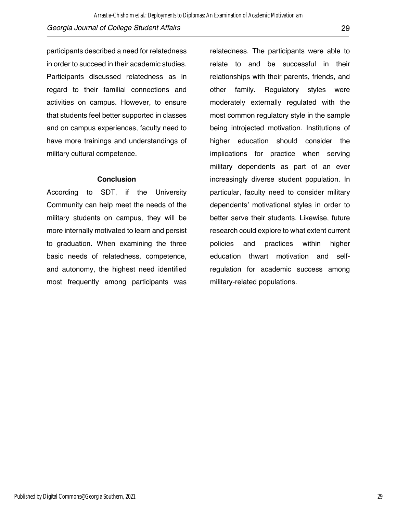participants described a need for relatedness in order to succeed in their academic studies. Participants discussed relatedness as in regard to their familial connections and activities on campus. However, to ensure that students feel better supported in classes and on campus experiences, faculty need to have more trainings and understandings of military cultural competence.

#### **Conclusion**

According to SDT, if the University Community can help meet the needs of the military students on campus, they will be more internally motivated to learn and persist to graduation. When examining the three basic needs of relatedness, competence, and autonomy, the highest need identified most frequently among participants was

relatedness. The participants were able to relate to and be successful in their relationships with their parents, friends, and other family. Regulatory styles were moderately externally regulated with the most common regulatory style in the sample being introjected motivation. Institutions of higher education should consider the implications for practice when serving military dependents as part of an ever increasingly diverse student population. In particular, faculty need to consider military dependents' motivational styles in order to better serve their students. Likewise, future research could explore to what extent current policies and practices within higher education thwart motivation and selfregulation for academic success among military-related populations.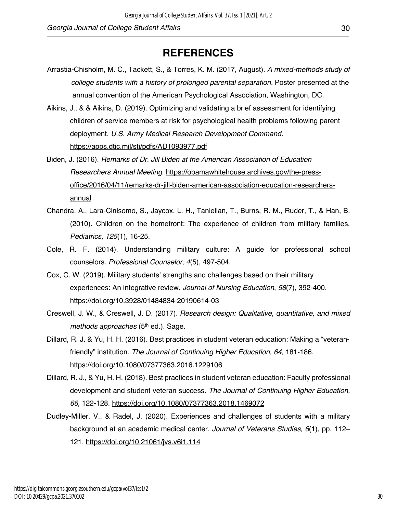# **REFERENCES**

- Arrastia-Chisholm, M. C., Tackett, S., & Torres, K. M. (2017, August). *A mixed-methods study of college students with a history of prolonged parental separation.* Poster presented at the annual convention of the American Psychological Association, Washington, DC.
- Aikins, J., & & Aikins, D. (2019). Optimizing and validating a brief assessment for identifying children of service members at risk for psychological health problems following parent deployment. *U.S. Army Medical Research Development Command.*  https://apps.dtic.mil/sti/pdfs/AD1093977.pdf
- Biden, J. (2016). *Remarks of Dr. Jill Biden at the American Association of Education Researchers Annual Meeting*. https://obamawhitehouse.archives.gov/the-pressoffice/2016/04/11/remarks-dr-jill-biden-american-association-education-researchersannual
- Chandra, A., Lara-Cinisomo, S., Jaycox, L. H., Tanielian, T., Burns, R. M., Ruder, T., & Han, B. (2010). Children on the homefront: The experience of children from military families. *Pediatrics*, *125*(1), 16-25.
- Cole, R. F. (2014). Understanding military culture: A guide for professional school counselors. *Professional Counselor*, *4*(5), 497-504.
- Cox, C. W. (2019). Military students' strengths and challenges based on their military experiences: An integrative review. *Journal of Nursing Education*, *58*(7), 392-400. https://doi.org/10.3928/01484834-20190614-03
- Creswell, J. W., & Creswell, J. D. (2017). *Research design: Qualitative, quantitative, and mixed methods approaches* (5<sup>th</sup> ed.). Sage.
- Dillard, R. J. & Yu, H. H. (2016). Best practices in student veteran education: Making a "veteranfriendly" institution. *The Journal of Continuing Higher Education, 64,* 181-186. https://doi.org/10.1080/07377363.2016.1229106
- Dillard, R. J., & Yu, H. H. (2018). Best practices in student veteran education: Faculty professional development and student veteran success. *The Journal of Continuing Higher Education, 66,* 122-128. https://doi.org/10.1080/07377363.2018.1469072
- Dudley-Miller, V., & Radel, J. (2020). Experiences and challenges of students with a military background at an academic medical center. *Journal of Veterans Studies, 6*(1), pp. 112– 121. https://doi.org/10.21061/jvs.v6i1.114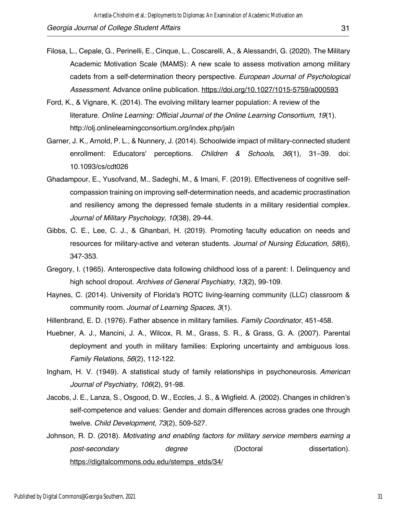- Filosa, L., Cepale, G., Perinelli, E., Cinque, L., Coscarelli, A., & Alessandri, G. (2020). The Military Academic Motivation Scale (MAMS): A new scale to assess motivation among military cadets from a self-determination theory perspective. *European Journal of Psychological Assessment.* Advance online publication. https://doi.org/10.1027/1015-5759/a000593
- Ford, K., & Vignare, K. (2014). The evolving military learner population: A review of the literature. *Online Learning: Official Journal of the Online Learning Consortium, 19*(1). http://olj.onlinelearningconsortium.org/index.php/jaln
- Garner, J. K., Arnold, P. L., & Nunnery, J. (2014). Schoolwide impact of military-connected student enrollment: Educators' perceptions. *Children & Schools*, *36*(1), 31–39. doi: 10.1093/cs/cdt026
- Ghadampour, E., Yusofvand, M., Sadeghi, M., & Imani, F. (2019). Effectiveness of cognitive selfcompassion training on improving self-determination needs, and academic procrastination and resiliency among the depressed female students in a military residential complex. *Journal of Military Psychology, 10*(38), 29-44.
- Gibbs, C. E., Lee, C. J., & Ghanbari, H. (2019). Promoting faculty education on needs and resources for military-active and veteran students. *Journal of Nursing Education, 58*(6), 347-353.
- Gregory, I. (1965). Anterospective data following childhood loss of a parent: I. Delinquency and high school dropout. *Archives of General Psychiatry*, *13*(2), 99-109.
- Haynes, C. (2014). University of Florida's ROTC living-learning community (LLC) classroom & community room. *Journal of Learning Spaces, 3*(1).
- Hillenbrand, E. D. (1976). Father absence in military families. *Family Coordinator*, 451-458.
- Huebner, A. J., Mancini, J. A., Wilcox, R. M., Grass, S. R., & Grass, G. A. (2007). Parental deployment and youth in military families: Exploring uncertainty and ambiguous loss. *Family Relations*, *56*(2), 112-122.
- Ingham, H. V. (1949). A statistical study of family relationships in psychoneurosis. *American Journal of Psychiatry, 106*(2), 91-98.
- Jacobs, J. E., Lanza, S., Osgood, D. W., Eccles, J. S., & Wigfield. A. (2002). Changes in children's self-competence and values: Gender and domain differences across grades one through twelve. *Child Development*, *73*(2), 509-527.
- Johnson, R. D. (2018). *Motivating and enabling factors for military service members earning a*  post-secondary degree (Doctoral dissertation). https://digitalcommons.odu.edu/stemps\_etds/34/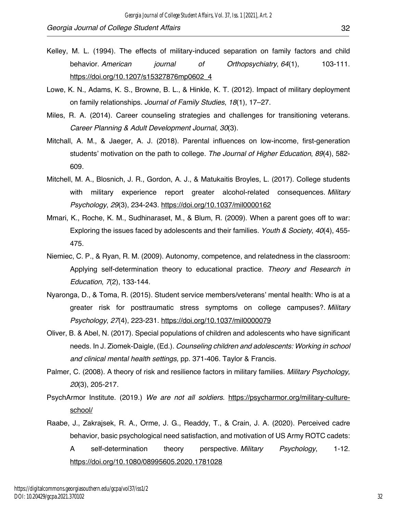- Kelley, M. L. (1994). The effects of military‐induced separation on family factors and child behavior. *American journal of Orthopsychiatry*, *64*(1), 103-111. https://doi.org/10.1207/s15327876mp0602\_4
- Lowe, K. N., Adams, K. S., Browne, B. L., & Hinkle, K. T. (2012). Impact of military deployment on family relationships. *Journal of Family Studies*, *18*(1), 17–27.
- Miles, R. A. (2014). Career counseling strategies and challenges for transitioning veterans. *Career Planning & Adult Development Journal, 30*(3).
- Mitchall, A. M., & Jaeger, A. J. (2018). Parental influences on low-income, first-generation students' motivation on the path to college. *The Journal of Higher Education*, *89*(4), 582- 609.
- Mitchell, M. A., Blosnich, J. R., Gordon, A. J., & Matukaitis Broyles, L. (2017). College students with military experience report greater alcohol-related consequences. *Military Psychology*, *29*(3), 234-243. https://doi.org/10.1037/mil0000162
- Mmari, K., Roche, K. M., Sudhinaraset, M., & Blum, R. (2009). When a parent goes off to war: Exploring the issues faced by adolescents and their families. *Youth & Society*, *40*(4), 455- 475.
- Niemiec, C. P., & Ryan, R. M. (2009). Autonomy, competence, and relatedness in the classroom: Applying self-determination theory to educational practice. *Theory and Research in Education*, *7*(2), 133-144.
- Nyaronga, D., & Toma, R. (2015). Student service members/veterans' mental health: Who is at a greater risk for posttraumatic stress symptoms on college campuses?. *Military Psychology*, *27*(4), 223-231. https://doi.org/10.1037/mil0000079
- Oliver, B. & Abel, N. (2017). Special populations of children and adolescents who have significant needs. In J. Ziomek-Daigle, (Ed.). *Counseling children and adolescents: Working in school and clinical mental health settings,* pp. 371-406*.* Taylor & Francis.
- Palmer, C. (2008). A theory of risk and resilience factors in military families. *Military Psychology, 20*(3), 205-217.
- PsychArmor Institute. (2019.) *We are not all soldiers*. https://psycharmor.org/military-cultureschool/
- Raabe, J., Zakrajsek, R. A., Orme, J. G., Readdy, T., & Crain, J. A. (2020). Perceived cadre behavior, basic psychological need satisfaction, and motivation of US Army ROTC cadets: A self-determination theory perspective. *Military Psychology*, 1-12. https://doi.org/10.1080/08995605.2020.1781028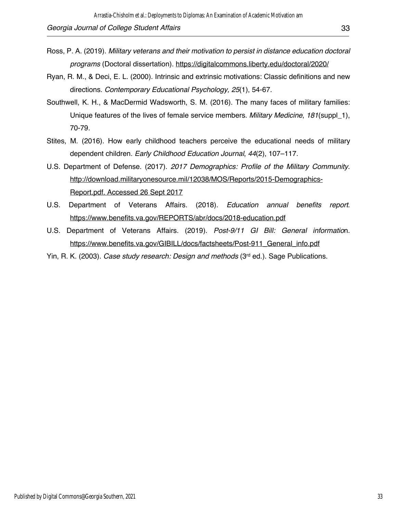- Ross, P. A. (2019). *Military veterans and their motivation to persist in distance education doctoral programs* (Doctoral dissertation). https://digitalcommons.liberty.edu/doctoral/2020/
- Ryan, R. M., & Deci, E. L. (2000). Intrinsic and extrinsic motivations: Classic definitions and new directions. *Contemporary Educational Psychology, 25*(1), 54-67.
- Southwell, K. H., & MacDermid Wadsworth, S. M. (2016). The many faces of military families: Unique features of the lives of female service members. *Military Medicine*, *181*(suppl\_1), 70-79.
- Stites, M. (2016). How early childhood teachers perceive the educational needs of military dependent children. *Early Childhood Education Journal*, *44*(2), 107–117.
- U.S. Department of Defense. (2017). *2017 Demographics: Profile of the Military Community*. http://download.militaryonesource.mil/12038/MOS/Reports/2015-Demographics-Report.pdf. Accessed 26 Sept 2017
- U.S. Department of Veterans Affairs. (2018). *Education annual benefits report*. https://www.benefits.va.gov/REPORTS/abr/docs/2018-education.pdf
- U.S. Department of Veterans Affairs. (2019). *Post-9/11 GI Bill: General informatio*n. https://www.benefits.va.gov/GIBILL/docs/factsheets/Post-911\_General\_info.pdf
- Yin, R. K. (2003). *Case study research: Design and methods* (3rd ed.). Sage Publications.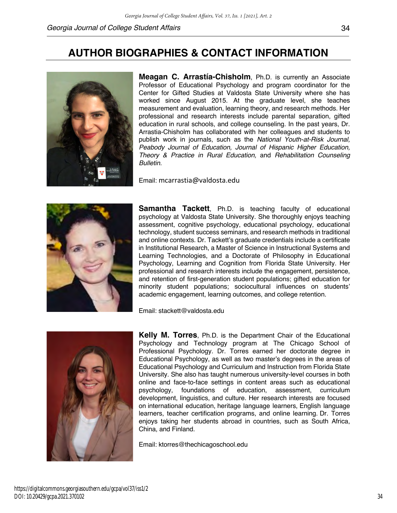# **AUTHOR BIOGRAPHIES & CONTACT INFORMATION**



**Meagan C. Arrastía-Chisholm**, Ph.D. is currently an Associate Professor of Educational Psychology and program coordinator for the Center for Gifted Studies at Valdosta State University where she has worked since August 2015. At the graduate level, she teaches measurement and evaluation, learning theory, and research methods. Her professional and research interests include parental separation, gifted education in rural schools, and college counseling. In the past years, Dr. Arrastia-Chisholm has collaborated with her colleagues and students to publish work in journals, such as the *National Youth-at-Risk Journal, Peabody Journal of Education, Journal of Hispanic Higher Education, Theory & Practice in Rural Education,* and *Rehabilitation Counseling Bulletin.*

Email: mcarrastia@valdosta.edu



**Samantha Tackett**, Ph.D. is teaching faculty of educational psychology at Valdosta State University. She thoroughly enjoys teaching assessment, cognitive psychology, educational psychology, educational technology, student success seminars, and research methods in traditional and online contexts. Dr. Tackett's graduate credentials include a certificate in Institutional Research, a Master of Science in Instructional Systems and Learning Technologies, and a Doctorate of Philosophy in Educational Psychology, Learning and Cognition from Florida State University. Her professional and research interests include the engagement, persistence, and retention of first-generation student populations; gifted education for minority student populations; sociocultural influences on students' academic engagement, learning outcomes, and college retention.

Email: stackett@valdosta.edu



**Kelly M. Torres**, Ph.D. is the Department Chair of the Educational Psychology and Technology program at The Chicago School of Professional Psychology. Dr. Torres earned her doctorate degree in Educational Psychology, as well as two master's degrees in the areas of Educational Psychology and Curriculum and Instruction from Florida State University. She also has taught numerous university-level courses in both online and face-to-face settings in content areas such as educational psychology, foundations of education, assessment, curriculum development, linguistics, and culture. Her research interests are focused on international education, heritage language learners, English language learners, teacher certification programs, and online learning. Dr. Torres enjoys taking her students abroad in countries, such as South Africa, China, and Finland.

Email: ktorres@thechicagoschool.edu